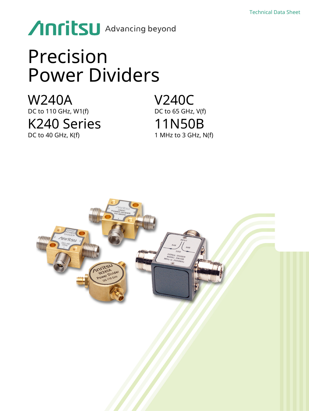# **Anritsu** Advancing beyond

# Precision Power Dividers

W240A DC to 110 GHz, W1(f) K240 Series DC to 40 GHz, K(f)

V240C DC to 65 GHz, V(f) 11N50B 1 MHz to 3 GHz, N(f)

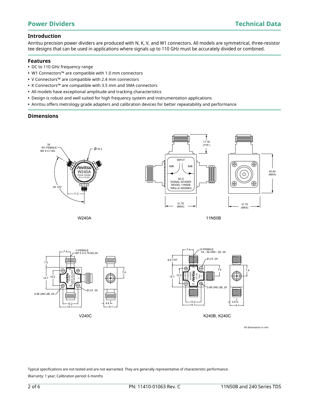# **Introduction**

Anritsu precision power dividers are produced with N, K, V, and W1 connectors. All models are symmetrical, three-resistor tee designs that can be used in applications where signals up to 110 GHz must be accurately divided or combined.

# **Features**

- **•** DC to 110 GHz frequency range
- **•** W1 Connectors™ are compatible with 1.0 mm connectors
- **•** V Connectors™ are compatible with 2.4 mm connectors
- **•** K Connectors™ are compatible with 3.5 mm and SMA connectors
- **•** All models have exceptional amplitude and tracking characteristics
- **•** Design is robust and well suited for high frequency system and instrumentation applications
- **•** Anritsu offers metrology grade adapters and calibration devices for better repeatability and performance

# **Dimensions**





All dimensions in mm

Typical specifications are not tested and are not warranted. They are generally representative of characteristic performance. Warranty: 1 year; Calibration period: 6 months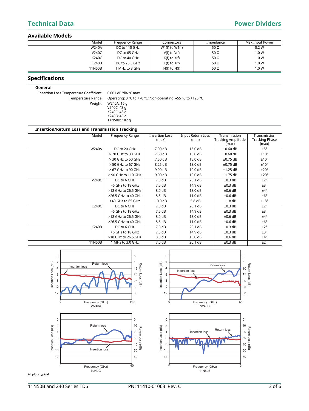# **Technical Data Power Dividers**

## **Available Models**

| Model        | Frequency Range | Connectors         | Impedance   | Max Input Power |
|--------------|-----------------|--------------------|-------------|-----------------|
| W240A        | DC to 110 GHz   | $W1(f)$ to $W1(f)$ | 50 $\Omega$ | 0.2 W           |
| V240C        | DC to 65 GHz    | $V(f)$ to $V(f)$   | 50 Ω        | 1.0 W           |
| K240C        | DC to 40 GHz    | $K(f)$ to $K(f)$   | 50 Ω        | 1.0 W           |
| <b>K240B</b> | DC to 26.5 GHz  | $K(f)$ to $K(f)$   | 50 Ω        | 1.0 W           |
| 11N50B       | MHz to 3 GHz    | $N(f)$ to $N(f)$   | 50 $\Omega$ | 1.0 W           |

# **Specifications**

### **General**

Insertion Loss Temperature Coefficient 0.001 dB/dB/°C max Temperature Range Operating: 0 °C to +70 °C; Non-operating: -55 °C to +125 °C

Weight W240A: 16 g V240C: 43 g K240C: 43 g K240B: 43 g 11N50B: 182 g

## **Insertion/Return Loss and Transmission Tracking**

| Model        | Frequency Range     | <b>Insertion Loss</b><br>(max) | <b>Input Return Loss</b><br>(min) | Transmission<br><b>Tracking Amplitude</b> | Transmission<br><b>Tracking Phase</b> |
|--------------|---------------------|--------------------------------|-----------------------------------|-------------------------------------------|---------------------------------------|
|              |                     |                                |                                   | (max)                                     | (max)                                 |
| <b>W240A</b> | DC to 20 GHz        | 7.00 dB                        | 15.0 dB                           | $\pm 0.60$ dB                             | ±5°                                   |
|              | > 20 GHz to 30 GHz  | 7.50 dB                        | 15.0 dB                           | $\pm 0.60$ dB                             | ±10°                                  |
|              | > 30 GHz to 50 GHz  | 7.50 dB                        | 15.0 dB                           | $\pm 0.75$ dB                             | ±10°                                  |
|              | > 50 GHz to 67 GHz  | 8.25 dB                        | 13.0 dB                           | $\pm 0.75$ dB                             | ±10°                                  |
|              | > 67 GHz to 90 GHz  | 9.00 dB                        | 10.0 dB                           | ±1.25 dB                                  | ±20°                                  |
|              | > 90 GHz to 110 GHz | 9.00 dB                        | 10.0 dB                           | ±1.75 dB                                  | ±20°                                  |
| V240C        | DC to 6 GHz         | 7.0 dB                         | 20.1 dB                           | $±0.3$ dB                                 | ±2°                                   |
|              | >6 GHz to 18 GHz    | 7.5 dB                         | 14.9 dB                           | $±0.3$ dB                                 | ±3°                                   |
|              | >18 GHz to 26.5 GHz | 8.0 dB                         | 13.0 dB                           | $±0.6$ dB                                 | $±4^{\circ}$                          |
|              | >26.5 GHz to 40 GHz | 8.5 dB                         | 11.0 dB                           | $±0.6$ dB                                 | ±6°                                   |
|              | >40 GHz to 65 GHz   | 10.0 dB                        | 5.8dB                             | $±1.8$ dB                                 | ±18°                                  |
| <b>K240C</b> | DC to 6 GHz         | 7.0 dB                         | 20.1 dB                           | ±0.3 dB                                   | ±2°                                   |
|              | >6 GHz to 18 GHz    | 7.5 dB                         | 14.9 dB                           | ±0.3 dB                                   | ±3°                                   |
|              | >18 GHz to 26.5 GHz | 8.0 dB                         | 13.0 dB                           | $\pm 0.6$ dB                              | $±4^{\circ}$                          |
|              | >26.5 GHz to 40 GHz | 8.5 dB                         | 11.0 dB                           | $±0.6$ dB                                 | ±6°                                   |
| <b>K240B</b> | DC to 6 GHz         | 7.0 dB                         | 20.1 dB                           | ±0.3 dB                                   | ±2°                                   |
|              | >6 GHz to 18 GHz    | 7.5dB                          | 14.9 dB                           | ±0.3 dB                                   | ±3°                                   |
|              | >18 GHz to 26.5 GHz | 8.0 dB                         | 13.0 dB                           | $±0.6$ dB                                 | $±4^{\circ}$                          |
| 11N50B       | 1 MHz to 3.0 GHz    | 7.0 dB                         | 20.1 dB                           | ±0.3 dB                                   | ±2°                                   |



All plots typical.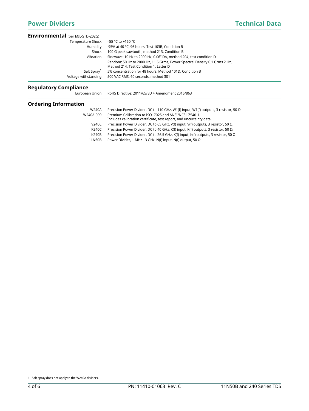| <b>Environmental</b> (per MIL-STD-202G) |                                                                                                                      |
|-----------------------------------------|----------------------------------------------------------------------------------------------------------------------|
| Temperature Shock                       | –55 °C to +150 °C                                                                                                    |
| Humidity                                | 95% at 40 °C, 96 hours, Test 103B, Condition B                                                                       |
| Shock                                   | 100 G peak sawtooth, method 213, Condition B                                                                         |
| Vibration                               | Sinewave: 10 Hz to 2000 Hz, 0.06" DA, method 204, test condition D                                                   |
|                                         | Random: 50 Hz to 2000 Hz, 11.6 Grms, Power Spectral Density 0.1 Grms 2 Hz,<br>Method 214, Test Condition 1, Letter D |
| Salt Spray <sup>1</sup>                 | 5% concentration for 48 hours, Method 101D, Condition B                                                              |
| Voltage withstanding                    | 500 VAC RMS, 60 seconds, method 301                                                                                  |

# **Regulatory Compliance**

| European Union         | RoHS Directive: 2011/65/EU + Amendment 2015/863                                                                                                                  |  |
|------------------------|------------------------------------------------------------------------------------------------------------------------------------------------------------------|--|
| Ordering Information   |                                                                                                                                                                  |  |
| <b>W240A</b>           | Precision Power Divider, DC to 110 GHz, W1(f) input, W1(f) outputs, 3 resistor, 50 $\Omega$                                                                      |  |
| W240A-099              | Premium Calibration to ISO17025 and ANSI/NCSL Z540-1.<br>Includes calibration certificate, test report, and uncertainty data.                                    |  |
| V240C                  | Precision Power Divider, DC to 65 GHz, V(f) input, V(f) outputs, 3 resistor, 50 $\Omega$                                                                         |  |
| K240C                  | Precision Power Divider, DC to 40 GHz, K(f) input, K(f) outputs, 3 resistor, 50 $\Omega$                                                                         |  |
| <b>K240B</b><br>11N50B | Precision Power Divider, DC to 26.5 GHz, K(f) input, K(f) outputs, 3 resistor, 50 $\Omega$<br>Power Divider, 1 MHz - 3 GHz, N(f) input, N(f) output, 50 $\Omega$ |  |
|                        |                                                                                                                                                                  |  |

<sup>1.</sup> Salt spray does not apply to the W240A dividers.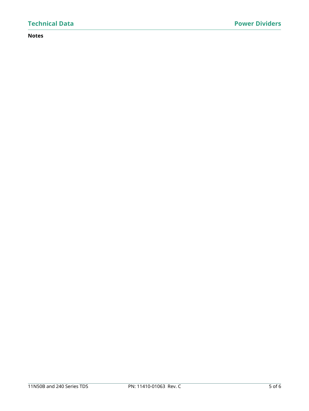# **Notes**